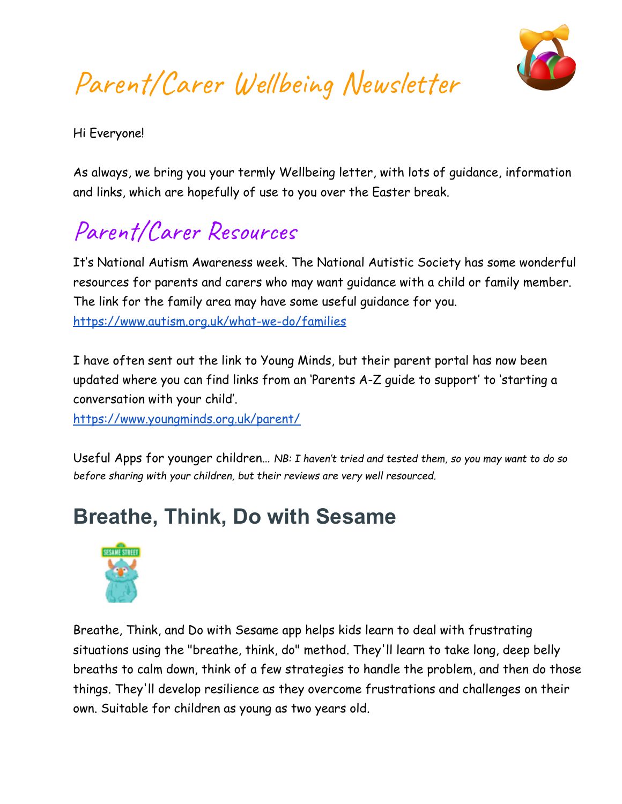

# Parent/Carer Wellbeing Newsletter

Hi Everyone!

As always, we bring you your termly Wellbeing letter, with lots of guidance, information and links, which are hopefully of use to you over the Easter break.

## Parent/Carer Resources

It's National Autism Awareness week. The National Autistic Society has some wonderful resources for parents and carers who may want guidance with a child or family member. The link for the family area may have some useful guidance for you. <https://www.autism.org.uk/what-we-do/families>

I have often sent out the link to Young Minds, but their parent portal has now been updated where you can find links from an 'Parents A-Z guide to support' to 'starting a conversation with your child'.

<https://www.youngminds.org.uk/parent/>

Useful Apps for younger children… *NB: I haven't tried and tested them, so you may want to do so before sharing with your children, but their reviews are very well resourced.*

#### **Breathe, Think, Do with Sesame**



Breathe, Think, and Do with Sesame app helps kids learn to deal with frustrating situations using the "breathe, think, do" method. They'll learn to take long, deep belly breaths to calm down, think of a few strategies to handle the problem, and then do those things. They'll develop resilience as they overcome frustrations and challenges on their own. Suitable for children as young as two years old.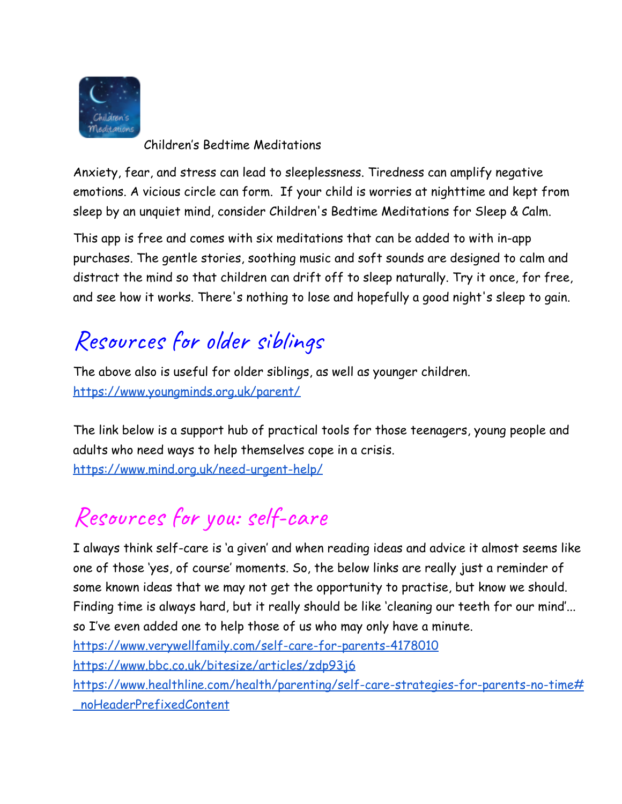

Children's Bedtime Meditations

Anxiety, fear, and stress can lead to sleeplessness. Tiredness can amplify negative emotions. A vicious circle can form. If your child is worries at nighttime and kept from sleep by an unquiet mind, consider Children's Bedtime Meditations for Sleep & Calm.

This app is free and comes with six meditations that can be added to with in-app purchases. The gentle stories, soothing music and soft sounds are designed to calm and distract the mind so that children can drift off to sleep naturally. Try it once, for free, and see how it works. There's nothing to lose and hopefully a good night's sleep to gain.

#### Resources for older siblings

The above also is useful for older siblings, as well as younger children. <https://www.youngminds.org.uk/parent/>

The link below is a support hub of practical tools for those teenagers, young people and adults who need ways to help themselves cope in a crisis. <https://www.mind.org.uk/need-urgent-help/>

# Resources for you: self-care

I always think self-care is 'a given' and when reading ideas and advice it almost seems like one of those 'yes, of course' moments. So, the below links are really just a reminder of some known ideas that we may not get the opportunity to practise, but know we should. Finding time is always hard, but it really should be like 'cleaning our teeth for our mind'... so I've even added one to help those of us who may only have a minute.

<https://www.verywellfamily.com/self-care-for-parents-4178010>

<https://www.bbc.co.uk/bitesize/articles/zdp93j6>

[https://www.healthline.com/health/parenting/self-care-strategies-for-parents-no-time#](https://www.healthline.com/health/parenting/self-care-strategies-for-parents-no-time#_noHeaderPrefixedContent) [\\_noHeaderPrefixedContent](https://www.healthline.com/health/parenting/self-care-strategies-for-parents-no-time#_noHeaderPrefixedContent)